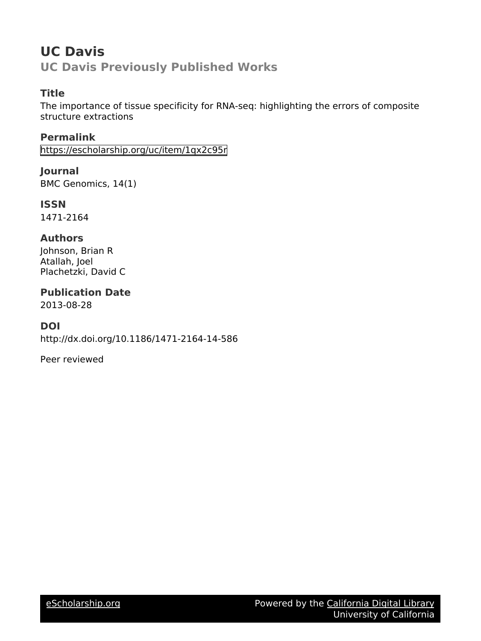# **UC Davis UC Davis Previously Published Works**

# **Title**

The importance of tissue specificity for RNA-seq: highlighting the errors of composite structure extractions

**Permalink** <https://escholarship.org/uc/item/1qx2c95r>

**Journal** BMC Genomics, 14(1)

**ISSN** 1471-2164

# **Authors**

Johnson, Brian R Atallah, Joel Plachetzki, David C

# **Publication Date**

2013-08-28

# **DOI**

http://dx.doi.org/10.1186/1471-2164-14-586

Peer reviewed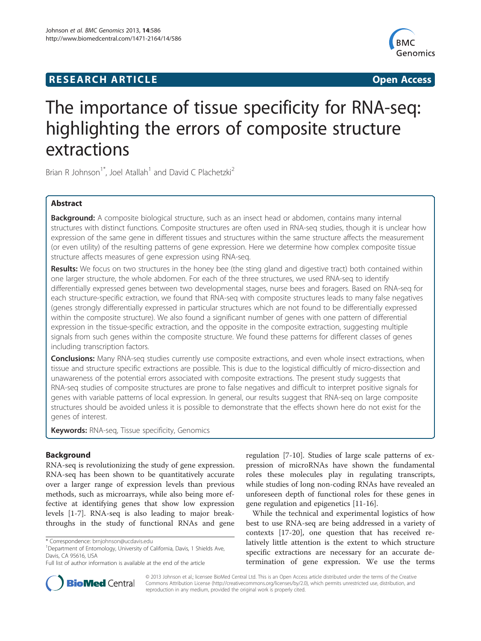# **RESEARCH ARTICLE Example 2018 12:00 Department of the CONNECTION CONNECTION CONNECTION CONNECTION**



# The importance of tissue specificity for RNA-seq: highlighting the errors of composite structure extractions

Brian R Johnson<sup>1\*</sup>, Joel Atallah<sup>1</sup> and David C Plachetzki<sup>2</sup>

# Abstract

Background: A composite biological structure, such as an insect head or abdomen, contains many internal structures with distinct functions. Composite structures are often used in RNA-seq studies, though it is unclear how expression of the same gene in different tissues and structures within the same structure affects the measurement (or even utility) of the resulting patterns of gene expression. Here we determine how complex composite tissue structure affects measures of gene expression using RNA-seq.

Results: We focus on two structures in the honey bee (the sting gland and digestive tract) both contained within one larger structure, the whole abdomen. For each of the three structures, we used RNA-seq to identify differentially expressed genes between two developmental stages, nurse bees and foragers. Based on RNA-seq for each structure-specific extraction, we found that RNA-seq with composite structures leads to many false negatives (genes strongly differentially expressed in particular structures which are not found to be differentially expressed within the composite structure). We also found a significant number of genes with one pattern of differential expression in the tissue-specific extraction, and the opposite in the composite extraction, suggesting multiple signals from such genes within the composite structure. We found these patterns for different classes of genes including transcription factors.

**Conclusions:** Many RNA-seq studies currently use composite extractions, and even whole insect extractions, when tissue and structure specific extractions are possible. This is due to the logistical difficultly of micro-dissection and unawareness of the potential errors associated with composite extractions. The present study suggests that RNA-seq studies of composite structures are prone to false negatives and difficult to interpret positive signals for genes with variable patterns of local expression. In general, our results suggest that RNA-seq on large composite structures should be avoided unless it is possible to demonstrate that the effects shown here do not exist for the genes of interest.

Keywords: RNA-seq, Tissue specificity, Genomics

# Background

RNA-seq is revolutionizing the study of gene expression. RNA-seq has been shown to be quantitatively accurate over a larger range of expression levels than previous methods, such as microarrays, while also being more effective at identifying genes that show low expression levels [[1](#page-7-0)-[7\]](#page-7-0). RNA-seq is also leading to major breakthroughs in the study of functional RNAs and gene

regulation [[7-10\]](#page-7-0). Studies of large scale patterns of expression of microRNAs have shown the fundamental roles these molecules play in regulating transcripts, while studies of long non-coding RNAs have revealed an unforeseen depth of functional roles for these genes in gene regulation and epigenetics [[11](#page-7-0)[-16](#page-8-0)].

While the technical and experimental logistics of how best to use RNA-seq are being addressed in a variety of contexts [\[17](#page-8-0)-[20\]](#page-8-0), one question that has received relatively little attention is the extent to which structure specific extractions are necessary for an accurate determination of gene expression. We use the terms



© 2013 Johnson et al.; licensee BioMed Central Ltd. This is an Open Access article distributed under the terms of the Creative Commons Attribution License [\(http://creativecommons.org/licenses/by/2.0\)](http://creativecommons.org/licenses/by/2.0), which permits unrestricted use, distribution, and reproduction in any medium, provided the original work is properly cited.

<sup>\*</sup> Correspondence: [brnjohnson@ucdavis.edu](mailto:brnjohnson@ucdavis.edu) <sup>1</sup>

<sup>&</sup>lt;sup>1</sup>Department of Entomology, University of California, Davis, 1 Shields Ave, Davis, CA 95616, USA

Full list of author information is available at the end of the article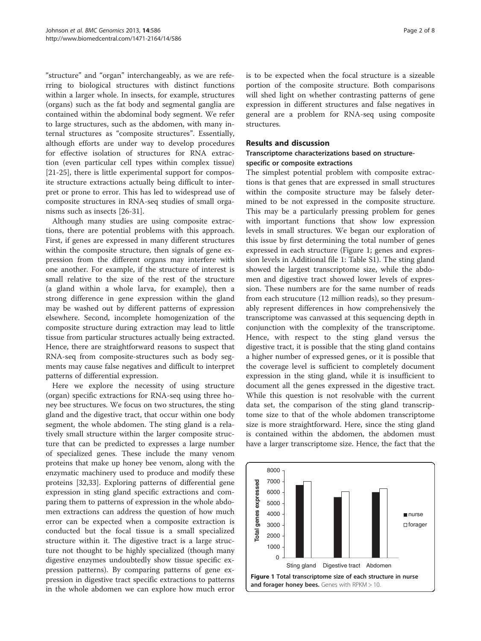<span id="page-2-0"></span>"structure" and "organ" interchangeably, as we are referring to biological structures with distinct functions within a larger whole. In insects, for example, structures (organs) such as the fat body and segmental ganglia are contained within the abdominal body segment. We refer to large structures, such as the abdomen, with many internal structures as "composite structures". Essentially, although efforts are under way to develop procedures for effective isolation of structures for RNA extraction (even particular cell types within complex tissue) [[21-25](#page-8-0)], there is little experimental support for composite structure extractions actually being difficult to interpret or prone to error. This has led to widespread use of composite structures in RNA-seq studies of small organisms such as insects [\[26-31](#page-8-0)].

Although many studies are using composite extractions, there are potential problems with this approach. First, if genes are expressed in many different structures within the composite structure, then signals of gene expression from the different organs may interfere with one another. For example, if the structure of interest is small relative to the size of the rest of the structure (a gland within a whole larva, for example), then a strong difference in gene expression within the gland may be washed out by different patterns of expression elsewhere. Second, incomplete homogenization of the composite structure during extraction may lead to little tissue from particular structures actually being extracted. Hence, there are straightforward reasons to suspect that RNA-seq from composite-structures such as body segments may cause false negatives and difficult to interpret patterns of differential expression.

Here we explore the necessity of using structure (organ) specific extractions for RNA-seq using three honey bee structures. We focus on two structures, the sting gland and the digestive tract, that occur within one body segment, the whole abdomen. The sting gland is a relatively small structure within the larger composite structure that can be predicted to expresses a large number of specialized genes. These include the many venom proteins that make up honey bee venom, along with the enzymatic machinery used to produce and modify these proteins [[32](#page-8-0),[33](#page-8-0)]. Exploring patterns of differential gene expression in sting gland specific extractions and comparing them to patterns of expression in the whole abdomen extractions can address the question of how much error can be expected when a composite extraction is conducted but the focal tissue is a small specialized structure within it. The digestive tract is a large structure not thought to be highly specialized (though many digestive enzymes undoubtedly show tissue specific expression patterns). By comparing patterns of gene expression in digestive tract specific extractions to patterns in the whole abdomen we can explore how much error

is to be expected when the focal structure is a sizeable portion of the composite structure. Both comparisons will shed light on whether contrasting patterns of gene expression in different structures and false negatives in general are a problem for RNA-seq using composite structures.

## Results and discussion

## Transcriptome characterizations based on structurespecific or composite extractions

The simplest potential problem with composite extractions is that genes that are expressed in small structures within the composite structure may be falsely determined to be not expressed in the composite structure. This may be a particularly pressing problem for genes with important functions that show low expression levels in small structures. We began our exploration of this issue by first determining the total number of genes expressed in each structure (Figure 1; genes and expression levels in Additional file [1:](#page-7-0) Table S1). The sting gland showed the largest transcriptome size, while the abdomen and digestive tract showed lower levels of expression. These numbers are for the same number of reads from each strucuture (12 million reads), so they presumably represent differences in how comprehensively the transcriptome was canvassed at this sequencing depth in conjunction with the complexity of the transcriptome. Hence, with respect to the sting gland versus the digestive tract, it is possible that the sting gland contains a higher number of expressed genes, or it is possible that the coverage level is sufficient to completely document expression in the sting gland, while it is insufficient to document all the genes expressed in the digestive tract. While this question is not resolvable with the current data set, the comparison of the sting gland transcriptome size to that of the whole abdomen transcriptome size is more straightforward. Here, since the sting gland is contained within the abdomen, the abdomen must have a larger transcriptome size. Hence, the fact that the

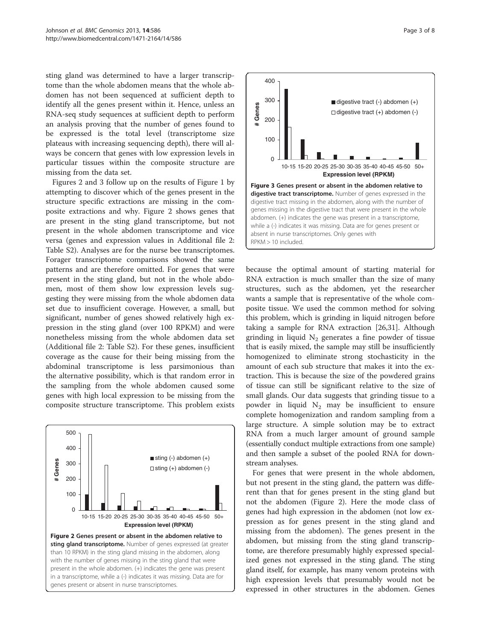<span id="page-3-0"></span>sting gland was determined to have a larger transcriptome than the whole abdomen means that the whole abdomen has not been sequenced at sufficient depth to identify all the genes present within it. Hence, unless an RNA-seq study sequences at sufficient depth to perform an analysis proving that the number of genes found to be expressed is the total level (transcriptome size plateaus with increasing sequencing depth), there will always be concern that genes with low expression levels in particular tissues within the composite structure are missing from the data set.

Figures 2 and 3 follow up on the results of Figure [1](#page-2-0) by attempting to discover which of the genes present in the structure specific extractions are missing in the composite extractions and why. Figure 2 shows genes that are present in the sting gland transcriptome, but not present in the whole abdomen transcriptome and vice versa (genes and expression values in Additional file [2](#page-7-0): Table S2). Analyses are for the nurse bee transcriptomes. Forager transcriptome comparisons showed the same patterns and are therefore omitted. For genes that were present in the sting gland, but not in the whole abdomen, most of them show low expression levels suggesting they were missing from the whole abdomen data set due to insufficient coverage. However, a small, but significant, number of genes showed relatively high expression in the sting gland (over 100 RPKM) and were nonetheless missing from the whole abdomen data set (Additional file [2:](#page-7-0) Table S2). For these genes, insufficient coverage as the cause for their being missing from the abdominal transcriptome is less parsimonious than the alternative possibility, which is that random error in the sampling from the whole abdomen caused some genes with high local expression to be missing from the composite structure transcriptome. This problem exists





because the optimal amount of starting material for RNA extraction is much smaller than the size of many structures, such as the abdomen, yet the researcher wants a sample that is representative of the whole composite tissue. We used the common method for solving this problem, which is grinding in liquid nitrogen before taking a sample for RNA extraction [\[26,31\]](#page-8-0). Although grinding in liquid  $N_2$  generates a fine powder of tissue that is easily mixed, the sample may still be insufficiently homogenized to eliminate strong stochasticity in the amount of each sub structure that makes it into the extraction. This is because the size of the powdered grains of tissue can still be significant relative to the size of small glands. Our data suggests that grinding tissue to a powder in liquid  $N_2$  may be insufficient to ensure complete homogenization and random sampling from a large structure. A simple solution may be to extract RNA from a much larger amount of ground sample (essentially conduct multiple extractions from one sample) and then sample a subset of the pooled RNA for downstream analyses.

For genes that were present in the whole abdomen, but not present in the sting gland, the pattern was different than that for genes present in the sting gland but not the abdomen (Figure 2). Here the mode class of genes had high expression in the abdomen (not low expression as for genes present in the sting gland and missing from the abdomen). The genes present in the abdomen, but missing from the sting gland transcriptome, are therefore presumably highly expressed specialized genes not expressed in the sting gland. The sting gland itself, for example, has many venom proteins with high expression levels that presumably would not be expressed in other structures in the abdomen. Genes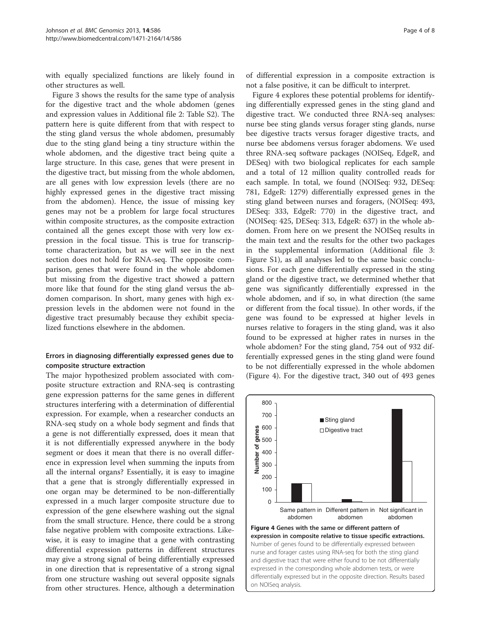<span id="page-4-0"></span>with equally specialized functions are likely found in other structures as well.

Figure [3](#page-3-0) shows the results for the same type of analysis for the digestive tract and the whole abdomen (genes and expression values in Additional file [2](#page-7-0): Table S2). The pattern here is quite different from that with respect to the sting gland versus the whole abdomen, presumably due to the sting gland being a tiny structure within the whole abdomen, and the digestive tract being quite a large structure. In this case, genes that were present in the digestive tract, but missing from the whole abdomen, are all genes with low expression levels (there are no highly expressed genes in the digestive tract missing from the abdomen). Hence, the issue of missing key genes may not be a problem for large focal structures within composite structures, as the composite extraction contained all the genes except those with very low expression in the focal tissue. This is true for transcriptome characterization, but as we will see in the next section does not hold for RNA-seq. The opposite comparison, genes that were found in the whole abdomen but missing from the digestive tract showed a pattern more like that found for the sting gland versus the abdomen comparison. In short, many genes with high expression levels in the abdomen were not found in the digestive tract presumably because they exhibit specialized functions elsewhere in the abdomen.

## Errors in diagnosing differentially expressed genes due to composite structure extraction

The major hypothesized problem associated with composite structure extraction and RNA-seq is contrasting gene expression patterns for the same genes in different structures interfering with a determination of differential expression. For example, when a researcher conducts an RNA-seq study on a whole body segment and finds that a gene is not differentially expressed, does it mean that it is not differentially expressed anywhere in the body segment or does it mean that there is no overall difference in expression level when summing the inputs from all the internal organs? Essentially, it is easy to imagine that a gene that is strongly differentially expressed in one organ may be determined to be non-differentially expressed in a much larger composite structure due to expression of the gene elsewhere washing out the signal from the small structure. Hence, there could be a strong false negative problem with composite extractions. Likewise, it is easy to imagine that a gene with contrasting differential expression patterns in different structures may give a strong signal of being differentially expressed in one direction that is representative of a strong signal from one structure washing out several opposite signals from other structures. Hence, although a determination

of differential expression in a composite extraction is not a false positive, it can be difficult to interpret.

Figure 4 explores these potential problems for identifying differentially expressed genes in the sting gland and digestive tract. We conducted three RNA-seq analyses: nurse bee sting glands versus forager sting glands, nurse bee digestive tracts versus forager digestive tracts, and nurse bee abdomens versus forager abdomens. We used three RNA-seq software packages (NOISeq, EdgeR, and DESeq) with two biological replicates for each sample and a total of 12 million quality controlled reads for each sample. In total, we found (NOISeq: 932, DESeq: 781, EdgeR: 1279) differentially expressed genes in the sting gland between nurses and foragers, (NOISeq: 493, DESeq: 333, EdgeR: 770) in the digestive tract, and (NOISeq: 425, DESeq: 313, EdgeR: 637) in the whole abdomen. From here on we present the NOISeq results in the main text and the results for the other two packages in the supplemental information (Additional file [3](#page-7-0): Figure S1), as all analyses led to the same basic conclusions. For each gene differentially expressed in the sting gland or the digestive tract, we determined whether that gene was significantly differentially expressed in the whole abdomen, and if so, in what direction (the same or different from the focal tissue). In other words, if the gene was found to be expressed at higher levels in nurses relative to foragers in the sting gland, was it also found to be expressed at higher rates in nurses in the whole abdomen? For the sting gland, 754 out of 932 differentially expressed genes in the sting gland were found to be not differentially expressed in the whole abdomen (Figure 4). For the digestive tract, 340 out of 493 genes

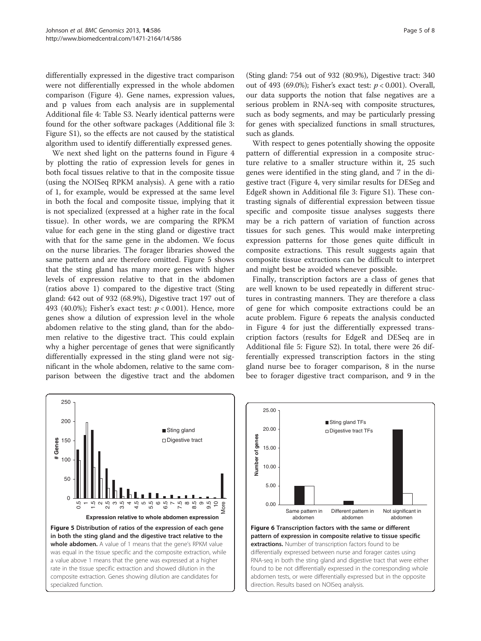<span id="page-5-0"></span>differentially expressed in the digestive tract comparison were not differentially expressed in the whole abdomen comparison (Figure [4](#page-4-0)). Gene names, expression values, and p values from each analysis are in supplemental Additional file [4:](#page-7-0) Table S3. Nearly identical patterns were found for the other software packages (Additional file [3](#page-7-0): Figure S1), so the effects are not caused by the statistical algorithm used to identify differentially expressed genes.

We next shed light on the patterns found in Figure [4](#page-4-0) by plotting the ratio of expression levels for genes in both focal tissues relative to that in the composite tissue (using the NOISeq RPKM analysis). A gene with a ratio of 1, for example, would be expressed at the same level in both the focal and composite tissue, implying that it is not specialized (expressed at a higher rate in the focal tissue). In other words, we are comparing the RPKM value for each gene in the sting gland or digestive tract with that for the same gene in the abdomen. We focus on the nurse libraries. The forager libraries showed the same pattern and are therefore omitted. Figure 5 shows that the sting gland has many more genes with higher levels of expression relative to that in the abdomen (ratios above 1) compared to the digestive tract (Sting gland: 642 out of 932 (68.9%), Digestive tract 197 out of 493 (40.0%); Fisher's exact test:  $p < 0.001$ ). Hence, more genes show a dilution of expression level in the whole abdomen relative to the sting gland, than for the abdomen relative to the digestive tract. This could explain why a higher percentage of genes that were significantly differentially expressed in the sting gland were not significant in the whole abdomen, relative to the same comparison between the digestive tract and the abdomen

(Sting gland: 754 out of 932 (80.9%), Digestive tract: 340 out of 493 (69.0%); Fisher's exact test:  $p < 0.001$ ). Overall, our data supports the notion that false negatives are a serious problem in RNA-seq with composite structures, such as body segments, and may be particularly pressing for genes with specialized functions in small structures, such as glands.

With respect to genes potentially showing the opposite pattern of differential expression in a composite structure relative to a smaller structure within it, 25 such genes were identified in the sting gland, and 7 in the digestive tract (Figure [4,](#page-4-0) very similar results for DESeg and EdgeR shown in Additional file [3:](#page-7-0) Figure S1). These contrasting signals of differential expression between tissue specific and composite tissue analyses suggests there may be a rich pattern of variation of function across tissues for such genes. This would make interpreting expression patterns for those genes quite difficult in composite extractions. This result suggests again that composite tissue extractions can be difficult to interpret and might best be avoided whenever possible.

Finally, transcription factors are a class of genes that are well known to be used repeatedly in different structures in contrasting manners. They are therefore a class of gene for which composite extractions could be an acute problem. Figure 6 repeats the analysis conducted in Figure [4](#page-4-0) for just the differentially expressed transcription factors (results for EdgeR and DESeq are in Additional file [5](#page-7-0): Figure S2). In total, there were 26 differentially expressed transcription factors in the sting gland nurse bee to forager comparison, 8 in the nurse bee to forager digestive tract comparison, and 9 in the



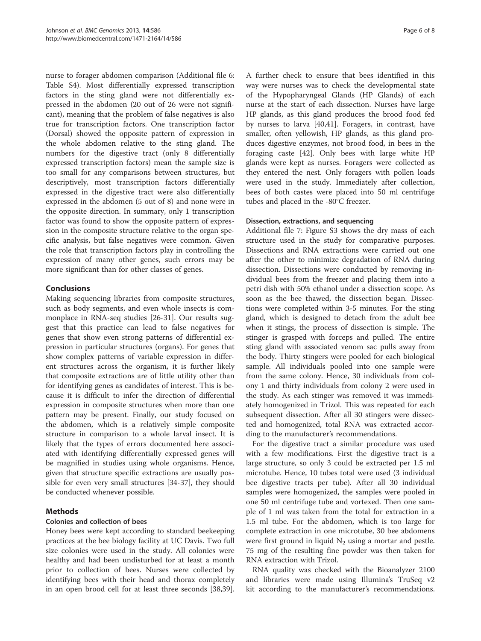nurse to forager abdomen comparison (Additional file [6](#page-7-0): Table S4). Most differentially expressed transcription factors in the sting gland were not differentially expressed in the abdomen (20 out of 26 were not significant), meaning that the problem of false negatives is also true for transcription factors. One transcription factor (Dorsal) showed the opposite pattern of expression in the whole abdomen relative to the sting gland. The numbers for the digestive tract (only 8 differentially expressed transcription factors) mean the sample size is too small for any comparisons between structures, but descriptively, most transcription factors differentially expressed in the digestive tract were also differentially expressed in the abdomen (5 out of 8) and none were in the opposite direction. In summary, only 1 transcription factor was found to show the opposite pattern of expression in the composite structure relative to the organ specific analysis, but false negatives were common. Given the role that transcription factors play in controlling the expression of many other genes, such errors may be more significant than for other classes of genes.

# Conclusions

Making sequencing libraries from composite structures, such as body segments, and even whole insects is commonplace in RNA-seq studies [\[26-31](#page-8-0)]. Our results suggest that this practice can lead to false negatives for genes that show even strong patterns of differential expression in particular structures (organs). For genes that show complex patterns of variable expression in different structures across the organism, it is further likely that composite extractions are of little utility other than for identifying genes as candidates of interest. This is because it is difficult to infer the direction of differential expression in composite structures when more than one pattern may be present. Finally, our study focused on the abdomen, which is a relatively simple composite structure in comparison to a whole larval insect. It is likely that the types of errors documented here associated with identifying differentially expressed genes will be magnified in studies using whole organisms. Hence, given that structure specific extractions are usually possible for even very small structures [\[34-37](#page-8-0)], they should be conducted whenever possible.

## Methods

## Colonies and collection of bees

Honey bees were kept according to standard beekeeping practices at the bee biology facility at UC Davis. Two full size colonies were used in the study. All colonies were healthy and had been undisturbed for at least a month prior to collection of bees. Nurses were collected by identifying bees with their head and thorax completely in an open brood cell for at least three seconds [\[38,39](#page-8-0)].

A further check to ensure that bees identified in this way were nurses was to check the developmental state of the Hypopharyngeal Glands (HP Glands) of each nurse at the start of each dissection. Nurses have large HP glands, as this gland produces the brood food fed by nurses to larva [\[40,41\]](#page-8-0). Foragers, in contrast, have smaller, often yellowish, HP glands, as this gland produces digestive enzymes, not brood food, in bees in the foraging caste [\[42](#page-8-0)]. Only bees with large white HP glands were kept as nurses. Foragers were collected as they entered the nest. Only foragers with pollen loads were used in the study. Immediately after collection, bees of both castes were placed into 50 ml centrifuge tubes and placed in the -80°C freezer.

#### Dissection, extractions, and sequencing

Additional file [7:](#page-7-0) Figure S3 shows the dry mass of each structure used in the study for comparative purposes. Dissections and RNA extractions were carried out one after the other to minimize degradation of RNA during dissection. Dissections were conducted by removing individual bees from the freezer and placing them into a petri dish with 50% ethanol under a dissection scope. As soon as the bee thawed, the dissection began. Dissections were completed within 3-5 minutes. For the sting gland, which is designed to detach from the adult bee when it stings, the process of dissection is simple. The stinger is grasped with forceps and pulled. The entire sting gland with associated venom sac pulls away from the body. Thirty stingers were pooled for each biological sample. All individuals pooled into one sample were from the same colony. Hence, 30 individuals from colony 1 and thirty individuals from colony 2 were used in the study. As each stinger was removed it was immediately homogenized in Trizol. This was repeated for each subsequent dissection. After all 30 stingers were dissected and homogenized, total RNA was extracted according to the manufacturer's recommendations.

For the digestive tract a similar procedure was used with a few modifications. First the digestive tract is a large structure, so only 3 could be extracted per 1.5 ml microtube. Hence, 10 tubes total were used (3 individual bee digestive tracts per tube). After all 30 individual samples were homogenized, the samples were pooled in one 50 ml centrifuge tube and vortexed. Then one sample of 1 ml was taken from the total for extraction in a 1.5 ml tube. For the abdomen, which is too large for complete extraction in one microtube, 30 bee abdomens were first ground in liquid  $N_2$  using a mortar and pestle. 75 mg of the resulting fine powder was then taken for RNA extraction with Trizol.

RNA quality was checked with the Bioanalyzer 2100 and libraries were made using Illumina's TruSeq v2 kit according to the manufacturer's recommendations.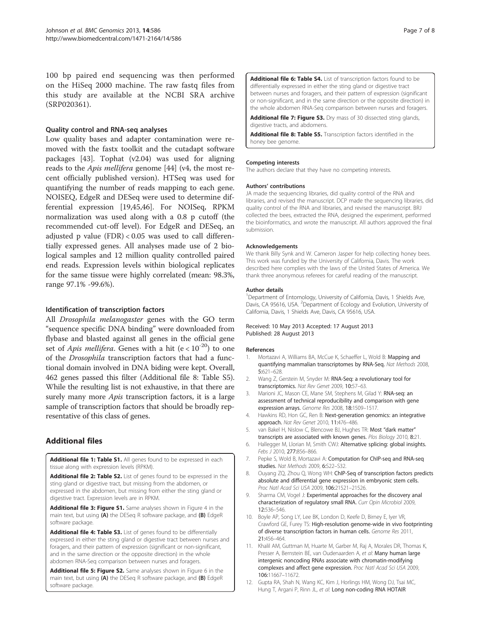<span id="page-7-0"></span>100 bp paired end sequencing was then performed on the HiSeq 2000 machine. The raw fastq files from this study are available at the NCBI SRA archive (SRP020361).

#### Quality control and RNA-seq analyses

Low quality bases and adapter contamination were removed with the fastx toolkit and the cutadapt software packages [\[43](#page-8-0)]. Tophat (v2.04) was used for aligning reads to the Apis mellifera genome [\[44\]](#page-8-0) (v4, the most recent officially published version). HTSeq was used for quantifying the number of reads mapping to each gene. NOISEQ, EdgeR and DESeq were used to determine differential expression [[19,45,46\]](#page-8-0). For NOISeq, RPKM normalization was used along with a 0.8 p cutoff (the recommended cut-off level). For EdgeR and DESeq, an adjusted p value (FDR) < 0.05 was used to call differentially expressed genes. All analyses made use of 2 biological samples and 12 million quality controlled paired end reads. Expression levels within biological replicates for the same tissue were highly correlated (mean: 98.3%, range 97.1% -99.6%).

#### Identification of transcription factors

All Drosophila melanogaster genes with the GO term "sequence specific DNA binding" were downloaded from flybase and blasted against all genes in the official gene set of *Apis mellifera*. Genes with a hit (e <  $10^{-20}$ ) to one of the Drosophila transcription factors that had a functional domain involved in DNA biding were kept. Overall, 462 genes passed this filter (Additional file 8: Table S5). While the resulting list is not exhaustive, in that there are surely many more *Apis* transcription factors, it is a large sample of transcription factors that should be broadly representative of this class of genes.

# Additional files

[Additional file 1: Table S1.](http://www.biomedcentral.com/content/supplementary/1471-2164-14-586-S1.xlsx) All genes found to be expressed in each tissue along with expression levels (RPKM).

[Additional file 2: Table S2.](http://www.biomedcentral.com/content/supplementary/1471-2164-14-586-S2.xlsx) List of genes found to be expressed in the sting gland or digestive tract, but missing from the abdomen, or expressed in the abdomen, but missing from either the sting gland or digestive tract. Expression levels are in RPKM.

[Additional file 3: Figure S1.](http://www.biomedcentral.com/content/supplementary/1471-2164-14-586-S3.pdf) Same analyses shown in Figure [4](#page-4-0) in the main text, but using (A) the DESeq R software package, and (B) EdgeR software package.

[Additional file 4: Table S3.](http://www.biomedcentral.com/content/supplementary/1471-2164-14-586-S4.xlsx) List of genes found to be differentially expressed in either the sting gland or digestive tract between nurses and foragers, and their pattern of expression (significant or non-significant, and in the same direction or the opposite direction) in the whole abdomen RNA-Seq comparison between nurses and foragers.

[Additional file 5: Figure S2.](http://www.biomedcentral.com/content/supplementary/1471-2164-14-586-S5.pdf) Same analyses shown in Figure [6](#page-5-0) in the main text, but using (A) the DESeq R software package, and (B) EdgeR software package.

[Additional file 6: Table S4.](http://www.biomedcentral.com/content/supplementary/1471-2164-14-586-S6.xlsx) List of transcription factors found to be differentially expressed in either the sting gland or digestive tract between nurses and foragers, and their pattern of expression (significant or non-significant, and in the same direction or the opposite direction) in the whole abdomen RNA-Seq comparison between nurses and foragers.

[Additional file 7: Figure S3.](http://www.biomedcentral.com/content/supplementary/1471-2164-14-586-S7.pdf) Dry mass of 30 dissected sting glands, digestive tracts, and abdomens.

[Additional file 8: Table S5.](http://www.biomedcentral.com/content/supplementary/1471-2164-14-586-S8.xlsx) Transcription factors identified in the honey bee genome.

#### Competing interests

The authors declare that they have no competing interests.

#### Authors' contributions

JA made the sequencing libraries, did quality control of the RNA and libraries, and revised the manuscript. DCP made the sequencing libraries, did quality control of the RNA and libraries, and revised the manuscript. BRJ collected the bees, extracted the RNA, designed the experiment, performed the bioinformatics, and wrote the manuscript. All authors approved the final submission.

#### Acknowledgements

We thank Billy Synk and W. Cameron Jasper for help collecting honey bees. This work was funded by the University of California, Davis. The work described here complies with the laws of the United States of America. We thank three anonymous referees for careful reading of the manuscript.

#### Author details

<sup>1</sup>Department of Entomology, University of California, Davis, 1 Shields Ave, Davis, CA 95616, USA. <sup>2</sup> Department of Ecology and Evolution, University of California, Davis, 1 Shields Ave, Davis, CA 95616, USA.

#### Received: 10 May 2013 Accepted: 17 August 2013 Published: 28 August 2013

#### References

- 1. Mortazavi A, Williams BA, McCue K, Schaeffer L, Wold B: Mapping and quantifying mammalian transcriptomes by RNA-Seq. Nat Methods 2008, 5:621–628.
- 2. Wang Z, Gerstein M, Snyder M: RNA-Seq: a revolutionary tool for transcriptomics. Nat Rev Genet 2009, 10:57–63.
- 3. Marioni JC, Mason CE, Mane SM, Stephens M, Gilad Y: RNA-seq: an assessment of technical reproducibility and comparison with gene expression arrays. Genome Res 2008, 18:1509–1517.
- 4. Hawkins RD, Hon GC, Ren B: Next-generation genomics: an integrative approach. Nat Rev Genet 2010, 11:476–486.
- 5. van Bakel H, Nislow C, Blencowe BJ, Hughes TR: Most "dark matter" transcripts are associated with known genes. Plos Biology 2010, 8:21.
- 6. Hallegger M, Llorian M, Smith CWJ: Alternative splicing: global insights. Febs J 2010, 277:856–866.
- 7. Pepke S, Wold B, Mortazavi A: Computation for ChIP-seq and RNA-seq studies. Nat Methods 2009, 6:S22–S32.
- 8. Ouyang ZQ, Zhou Q, Wong WH: ChIP-Seq of transcription factors predicts absolute and differential gene expression in embryonic stem cells. Proc Natl Acad Sci USA 2009, 106:21521–21526.
- 9. Sharma CM, Vogel J: Experimental approaches for the discovery anal characterization of regulatory small RNA. Curr Opin Microbiol 2009, 12:536–546.
- 10. Boyle AP, Song LY, Lee BK, London D, Keefe D, Birney E, Iyer VR, Crawford GE, Furey TS: High-resolution genome-wide in vivo footprinting of diverse transcription factors in human cells. Genome Res 2011, 21:456–464.
- 11. Khalil AM, Guttman M, Huarte M, Garber M, Raj A, Morales DR, Thomas K, Presser A, Bernstein BE, van Oudenaarden A, et al: Many human large intergenic noncoding RNAs associate with chromatin-modifying complexes and affect gene expression. Proc Natl Acad Sci USA 2009, 106:11667–11672.
- 12. Gupta RA, Shah N, Wang KC, Kim J, Horlings HM, Wong DJ, Tsai MC, Hung T, Argani P, Rinn JL, et al: Long non-coding RNA HOTAIR